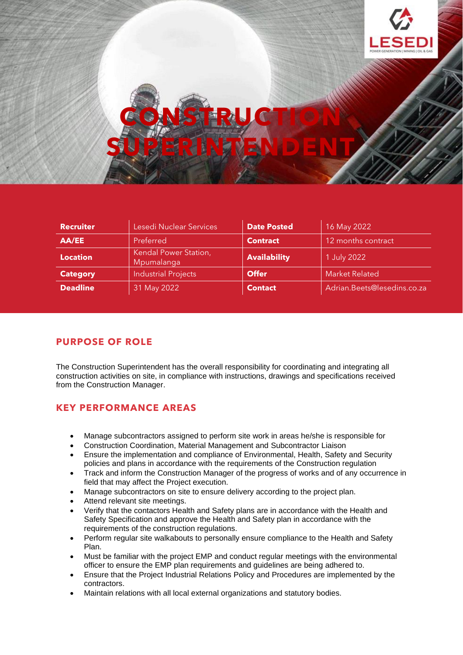

| <b>Recruiter</b> | Lesedi Nuclear Services             | <b>Date Posted</b>  | 16 May 2022                 |
|------------------|-------------------------------------|---------------------|-----------------------------|
| AA/EE            | Preferred                           | <b>Contract</b>     | 12 months contract          |
| <b>Location</b>  | Kendal Power Station,<br>Mpumalanga | <b>Availability</b> | 1 July 2022                 |
| <b>Category</b>  | <b>Industrial Projects</b>          | <b>Offer</b>        | <b>Market Related</b>       |
| <b>Deadline</b>  | 31 May 2022                         | <b>Contact</b>      | Adrian.Beets@lesedins.co.za |

## **PURPOSE OF ROLE**

The Construction Superintendent has the overall responsibility for coordinating and integrating all construction activities on site, in compliance with instructions, drawings and specifications received from the Construction Manager.

## **KEY PERFORMANCE AREAS**

- Manage subcontractors assigned to perform site work in areas he/she is responsible for
- Construction Coordination, Material Management and Subcontractor Liaison
- Ensure the implementation and compliance of Environmental, Health, Safety and Security policies and plans in accordance with the requirements of the Construction regulation
- Track and inform the Construction Manager of the progress of works and of any occurrence in field that may affect the Project execution.
- Manage subcontractors on site to ensure delivery according to the project plan.
- Attend relevant site meetings.
- Verify that the contactors Health and Safety plans are in accordance with the Health and Safety Specification and approve the Health and Safety plan in accordance with the requirements of the construction regulations.
- Perform regular site walkabouts to personally ensure compliance to the Health and Safety Plan.
- Must be familiar with the project EMP and conduct regular meetings with the environmental officer to ensure the EMP plan requirements and guidelines are being adhered to.
- Ensure that the Project Industrial Relations Policy and Procedures are implemented by the contractors.
- Maintain relations with all local external organizations and statutory bodies.